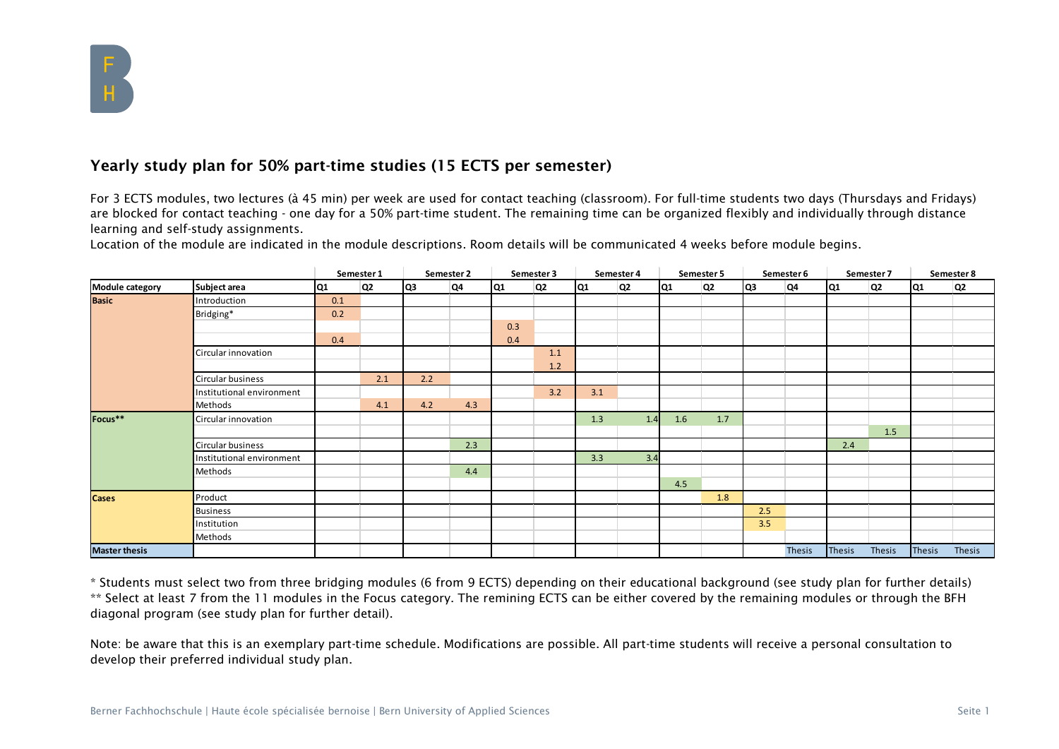

## Yearly study plan for 50% part-time studies (15 ECTS per semester)

For 3 ECTS modules, two lectures (à 45 min) per week are used for contact teaching (classroom). For full-time students two days (Thursdays and Fridays) are blocked for contact teaching - one day for a 50% part-time student. The remaining time can be organized flexibly and individually through distance learning and self-study assignments.

Location of the module are indicated in the module descriptions. Room details will be communicated 4 weeks before module begins.

|                        |                           |     | Semester 1     |     | Semester 2 |     | Semester 3 |     | Semester 4     |                | Semester 5 |     | Semester 6    |                 | Semester 7 |               | Semester 8 |
|------------------------|---------------------------|-----|----------------|-----|------------|-----|------------|-----|----------------|----------------|------------|-----|---------------|-----------------|------------|---------------|------------|
| <b>Module category</b> | Subject area              | Q1  | Q <sub>2</sub> | lQ3 | Q4         | lQ1 | Q2         | lQ1 | Q <sub>2</sub> | Q <sub>1</sub> | Q2         | lQ3 | Q4            | lQ <sub>1</sub> | Q2         | Q1            | Q2         |
| <b>Basic</b>           | Introduction              | 0.1 |                |     |            |     |            |     |                |                |            |     |               |                 |            |               |            |
|                        | Bridging*                 | 0.2 |                |     |            |     |            |     |                |                |            |     |               |                 |            |               |            |
|                        |                           |     |                |     |            | 0.3 |            |     |                |                |            |     |               |                 |            |               |            |
|                        |                           | 0.4 |                |     |            | 0.4 |            |     |                |                |            |     |               |                 |            |               |            |
|                        | Circular innovation       |     |                |     |            |     | 1.1        |     |                |                |            |     |               |                 |            |               |            |
|                        |                           |     |                |     |            |     | 1.2        |     |                |                |            |     |               |                 |            |               |            |
|                        | Circular business         |     | 2.1            | 2.2 |            |     |            |     |                |                |            |     |               |                 |            |               |            |
|                        | Institutional environment |     |                |     |            |     | 3.2        | 3.1 |                |                |            |     |               |                 |            |               |            |
|                        | Methods                   |     | 4.1            | 4.2 | 4.3        |     |            |     |                |                |            |     |               |                 |            |               |            |
| Focus**                | Circular innovation       |     |                |     |            |     |            | 1.3 | 1.4            | 1.6            | 1.7        |     |               |                 |            |               |            |
|                        |                           |     |                |     |            |     |            |     |                |                |            |     |               |                 | 1.5        |               |            |
|                        | Circular business         |     |                |     | 2.3        |     |            |     |                |                |            |     |               | 2.4             |            |               |            |
|                        | Institutional environment |     |                |     |            |     |            | 3.3 | 3.4            |                |            |     |               |                 |            |               |            |
|                        | Methods                   |     |                |     | 4.4        |     |            |     |                |                |            |     |               |                 |            |               |            |
|                        |                           |     |                |     |            |     |            |     |                | 4.5            |            |     |               |                 |            |               |            |
| <b>Cases</b>           | Product                   |     |                |     |            |     |            |     |                |                | 1.8        |     |               |                 |            |               |            |
|                        | <b>Business</b>           |     |                |     |            |     |            |     |                |                |            | 2.5 |               |                 |            |               |            |
|                        | Institution               |     |                |     |            |     |            |     |                |                |            | 3.5 |               |                 |            |               |            |
|                        | Methods                   |     |                |     |            |     |            |     |                |                |            |     |               |                 |            |               |            |
| <b>Master thesis</b>   |                           |     |                |     |            |     |            |     |                |                |            |     | <b>Thesis</b> | Thesis          | Thesis     | <b>Thesis</b> | Thesis     |

\* Students must select two from three bridging modules (6 from 9 ECTS) depending on their educational background (see study plan for further details) \*\* Select at least 7 from the 11 modules in the Focus category. The remining ECTS can be either covered by the remaining modules or through the BFH diagonal program (see study plan for further detail).

Note: be aware that this is an exemplary part-time schedule. Modifications are possible. All part-time students will receive a personal consultation to develop their preferred individual study plan.